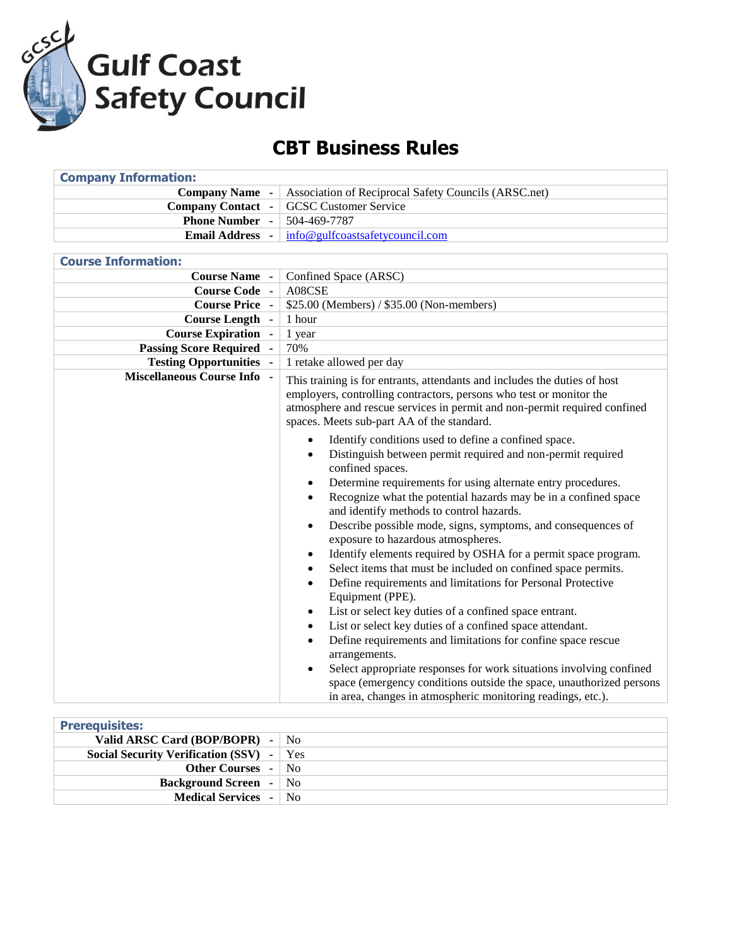

## **CBT Business Rules**

| <b>Company Information:</b>        |                                                                                                                                                                                                                                                                                                                                                                                                                                                                                                                                                                                                                                                                                                                                                                                                                                                                                                                                                                                                                                                                                                                                                                                                               |
|------------------------------------|---------------------------------------------------------------------------------------------------------------------------------------------------------------------------------------------------------------------------------------------------------------------------------------------------------------------------------------------------------------------------------------------------------------------------------------------------------------------------------------------------------------------------------------------------------------------------------------------------------------------------------------------------------------------------------------------------------------------------------------------------------------------------------------------------------------------------------------------------------------------------------------------------------------------------------------------------------------------------------------------------------------------------------------------------------------------------------------------------------------------------------------------------------------------------------------------------------------|
| <b>Company Name</b> -              | Association of Reciprocal Safety Councils (ARSC.net)                                                                                                                                                                                                                                                                                                                                                                                                                                                                                                                                                                                                                                                                                                                                                                                                                                                                                                                                                                                                                                                                                                                                                          |
| <b>Company Contact -</b>           | <b>GCSC Customer Service</b>                                                                                                                                                                                                                                                                                                                                                                                                                                                                                                                                                                                                                                                                                                                                                                                                                                                                                                                                                                                                                                                                                                                                                                                  |
| <b>Phone Number</b>                | 504-469-7787                                                                                                                                                                                                                                                                                                                                                                                                                                                                                                                                                                                                                                                                                                                                                                                                                                                                                                                                                                                                                                                                                                                                                                                                  |
| <b>Email Address -</b>             | info@gulfcoastsafetycouncil.com                                                                                                                                                                                                                                                                                                                                                                                                                                                                                                                                                                                                                                                                                                                                                                                                                                                                                                                                                                                                                                                                                                                                                                               |
|                                    |                                                                                                                                                                                                                                                                                                                                                                                                                                                                                                                                                                                                                                                                                                                                                                                                                                                                                                                                                                                                                                                                                                                                                                                                               |
| <b>Course Information:</b>         |                                                                                                                                                                                                                                                                                                                                                                                                                                                                                                                                                                                                                                                                                                                                                                                                                                                                                                                                                                                                                                                                                                                                                                                                               |
| <b>Course Name</b> -               | Confined Space (ARSC)                                                                                                                                                                                                                                                                                                                                                                                                                                                                                                                                                                                                                                                                                                                                                                                                                                                                                                                                                                                                                                                                                                                                                                                         |
| <b>Course Code -</b>               | A08CSE                                                                                                                                                                                                                                                                                                                                                                                                                                                                                                                                                                                                                                                                                                                                                                                                                                                                                                                                                                                                                                                                                                                                                                                                        |
| <b>Course Price -</b>              | \$25.00 (Members) / \$35.00 (Non-members)                                                                                                                                                                                                                                                                                                                                                                                                                                                                                                                                                                                                                                                                                                                                                                                                                                                                                                                                                                                                                                                                                                                                                                     |
| Course Length -                    | 1 hour                                                                                                                                                                                                                                                                                                                                                                                                                                                                                                                                                                                                                                                                                                                                                                                                                                                                                                                                                                                                                                                                                                                                                                                                        |
| <b>Course Expiration -</b>         | 1 year                                                                                                                                                                                                                                                                                                                                                                                                                                                                                                                                                                                                                                                                                                                                                                                                                                                                                                                                                                                                                                                                                                                                                                                                        |
| <b>Passing Score Required</b>      | 70%                                                                                                                                                                                                                                                                                                                                                                                                                                                                                                                                                                                                                                                                                                                                                                                                                                                                                                                                                                                                                                                                                                                                                                                                           |
| <b>Testing Opportunities -</b>     | 1 retake allowed per day                                                                                                                                                                                                                                                                                                                                                                                                                                                                                                                                                                                                                                                                                                                                                                                                                                                                                                                                                                                                                                                                                                                                                                                      |
| <b>Miscellaneous Course Info -</b> | This training is for entrants, attendants and includes the duties of host<br>employers, controlling contractors, persons who test or monitor the<br>atmosphere and rescue services in permit and non-permit required confined<br>spaces. Meets sub-part AA of the standard.                                                                                                                                                                                                                                                                                                                                                                                                                                                                                                                                                                                                                                                                                                                                                                                                                                                                                                                                   |
|                                    | Identify conditions used to define a confined space.<br>$\bullet$<br>Distinguish between permit required and non-permit required<br>$\bullet$<br>confined spaces.<br>Determine requirements for using alternate entry procedures.<br>$\bullet$<br>Recognize what the potential hazards may be in a confined space<br>$\bullet$<br>and identify methods to control hazards.<br>Describe possible mode, signs, symptoms, and consequences of<br>exposure to hazardous atmospheres.<br>Identify elements required by OSHA for a permit space program.<br>٠<br>Select items that must be included on confined space permits.<br>$\bullet$<br>Define requirements and limitations for Personal Protective<br>$\bullet$<br>Equipment (PPE).<br>List or select key duties of a confined space entrant.<br>$\bullet$<br>List or select key duties of a confined space attendant.<br>$\bullet$<br>Define requirements and limitations for confine space rescue<br>$\bullet$<br>arrangements.<br>Select appropriate responses for work situations involving confined<br>$\bullet$<br>space (emergency conditions outside the space, unauthorized persons<br>in area, changes in atmospheric monitoring readings, etc.). |

| <b>Prerequisites:</b>                             |  |
|---------------------------------------------------|--|
| Valid ARSC Card (BOP/BOPR) $-  $ No               |  |
| <b>Social Security Verification (SSV)</b> -   Yes |  |
| <b>Other Courses - No</b>                         |  |
| <b>Background Screen</b> - No                     |  |
| <b>Medical Services</b> - No                      |  |